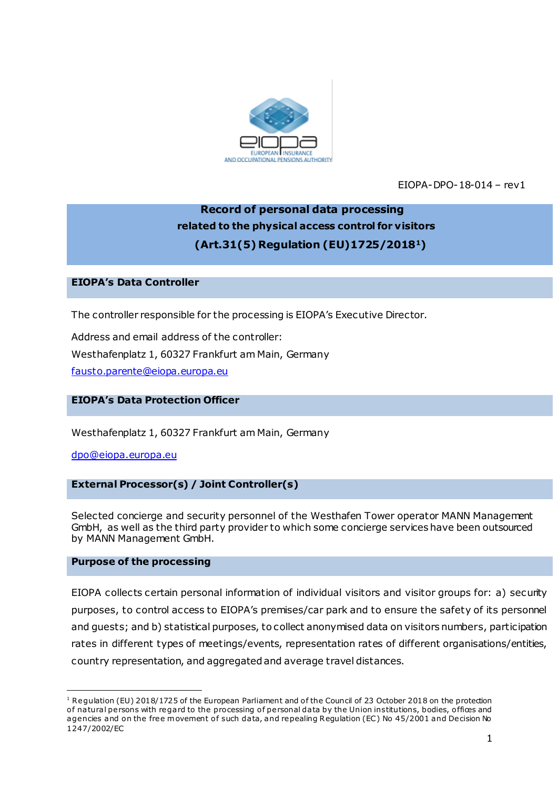

EIOPA-DPO-18-014 – rev1

# **Record of personal data processing related to the physical access control for visitors (Art.31(5) Regulation (EU)1725/20181)**

## **EIOPA's Data Controller**

The controller responsible for the processing is EIOPA's Executive Director.

Address and email address of the controller: Westhafenplatz 1, 60327 Frankfurt am Main, Germany [fausto.parente@eiopa.europa.eu](mailto:fausto.parente@eiopa.europa.eu)

## **EIOPA's Data Protection Officer**

Westhafenplatz 1, 60327 Frankfurt am Main, Germany

[dpo@eiopa.europa.eu](mailto:dpo@eiopa.europa.eu)

#### **External Processor(s) / Joint Controller(s)**

Selected concierge and security personnel of the Westhafen Tower operator MANN Management GmbH, as well as the third party provider to which some concierge services have been outsourced by MANN Management GmbH.

#### **Purpose of the processing**

.

EIOPA collects certain personal information of individual visitors and visitor groups for: a) security purposes, to control access to EIOPA's premises/car park and to ensure the safety of its personnel and guests; and b) statistical purposes, to collect anonymised data on visitors numbers, participation rates in different types of meetings/events, representation rates of different organisations/entities, country representation, and aggregated and average travel distances.

<sup>&</sup>lt;sup>1</sup> Regulation (EU) 2018/1725 of the European Parliament and of the Council of 23 October 2018 on the protection of natural persons with regard to the processing of personal data by the Union institutions, bodies, offices and agencies and on the free movement of such data, and repealing Regulation (EC) No 45/2001 and Decision No 1247/2002/EC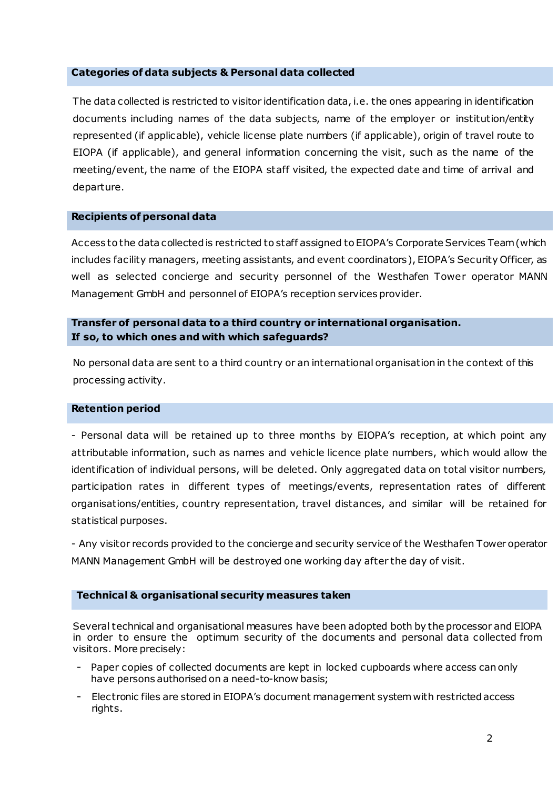#### **Categories of data subjects & Personal data collected**

The data collected is restricted to visitor identification data, i.e. the ones appearing in identification documents including names of the data subjects, name of the employer or institution/entity represented (if applicable), vehicle license plate numbers (if applicable), origin of travel route to EIOPA (if applicable), and general information concerning the visit, such as the name of the meeting/event, the name of the EIOPA staff visited, the expected date and time of arrival and departure.

#### **Recipients of personal data**

Access to the data collected is restricted to staff assigned to EIOPA's Corporate Services Team (which includes facility managers, meeting assistants, and event coordinators), EIOPA's Security Officer, as well as selected concierge and security personnel of the Westhafen Tower operator MANN Management GmbH and personnel of EIOPA's reception services provider.

# **Transfer of personal data to a third country or international organisation. If so, to which ones and with which safeguards?**

No personal data are sent to a third country or an international organisation in the context of this processing activity.

#### **Retention period**

- Personal data will be retained up to three months by EIOPA's reception, at which point any attributable information, such as names and vehicle licence plate numbers, which would allow the identification of individual persons, will be deleted. Only aggregated data on total visitor numbers, participation rates in different types of meetings/events, representation rates of different organisations/entities, country representation, travel distances, and similar will be retained for statistical purposes.

- Any visitor records provided to the concierge and security service of the Westhafen Tower operator MANN Management GmbH will be destroyed one working day after the day of visit.

#### **Technical & organisational security measures taken**

Several technical and organisational measures have been adopted both by the processor and EIOPA in order to ensure the optimum security of the documents and personal data collected from visitors. More precisely:

- Paper copies of collected documents are kept in locked cupboards where access canonly have persons authorised on a need-to-know basis;
- Electronic files are stored in EIOPA's document management systemwith restricted access rights.